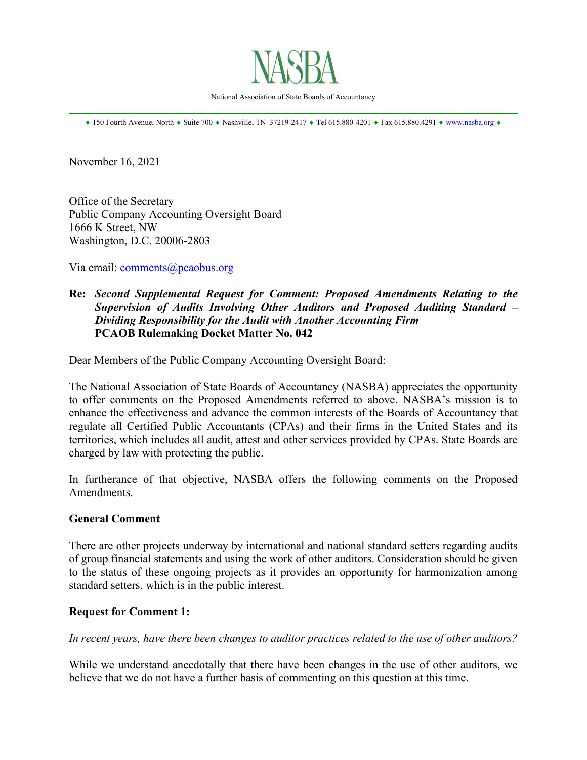

\_\_\_\_\_\_\_\_\_\_\_\_\_\_\_\_\_\_\_\_\_\_\_\_\_\_\_\_\_\_\_\_\_\_\_\_\_\_\_\_\_\_\_\_\_\_\_\_\_\_\_\_\_\_\_\_\_\_\_\_\_\_\_\_\_\_\_\_\_\_\_\_\_\_\_\_\_\_

♦ 150 Fourth Avenue, North ♦ Suite 700 ♦ Nashville, TN 37219-2417 ♦ Tel 615.880-4201 ♦ Fax 615.880.4291 ♦ [www.nasba.org](http://www.nasba.org/) ♦

November 16, 2021

Office of the Secretary Public Company Accounting Oversight Board 1666 K Street, NW Washington, D.C. 20006-2803

Via email: [comments@pcaobus.org](mailto:comments@pcaobus.org)

## **Re:** *Second Supplemental Request for Comment: Proposed Amendments Relating to the Supervision of Audits Involving Other Auditors and Proposed Auditing Standard – Dividing Responsibility for the Audit with Another Accounting Firm* **PCAOB Rulemaking Docket Matter No. 042**

Dear Members of the Public Company Accounting Oversight Board:

The National Association of State Boards of Accountancy (NASBA) appreciates the opportunity to offer comments on the Proposed Amendments referred to above. NASBA's mission is to enhance the effectiveness and advance the common interests of the Boards of Accountancy that regulate all Certified Public Accountants (CPAs) and their firms in the United States and its territories, which includes all audit, attest and other services provided by CPAs. State Boards are charged by law with protecting the public.

In furtherance of that objective, NASBA offers the following comments on the Proposed Amendments.

#### **General Comment**

There are other projects underway by international and national standard setters regarding audits of group financial statements and using the work of other auditors. Consideration should be given to the status of these ongoing projects as it provides an opportunity for harmonization among standard setters, which is in the public interest.

#### **Request for Comment 1:**

*In recent years, have there been changes to auditor practices related to the use of other auditors?*

While we understand anecdotally that there have been changes in the use of other auditors, we believe that we do not have a further basis of commenting on this question at this time.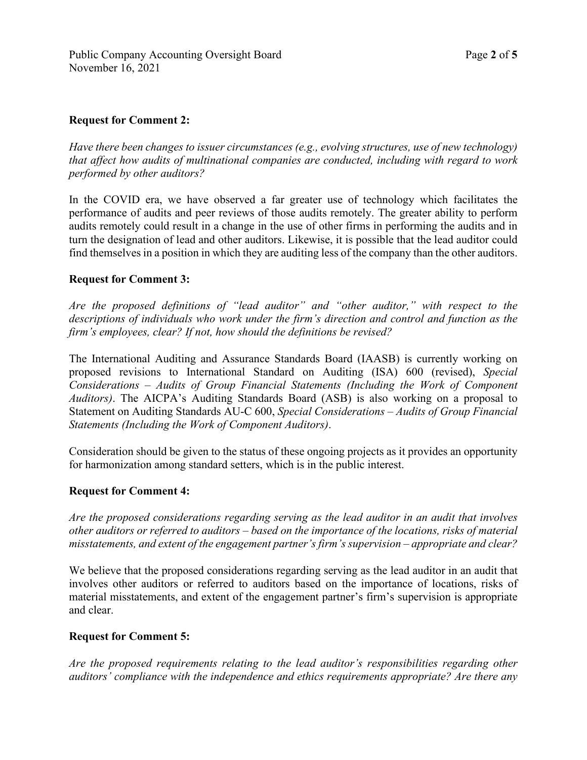### **Request for Comment 2:**

*Have there been changes to issuer circumstances (e.g., evolving structures, use of new technology) that affect how audits of multinational companies are conducted, including with regard to work performed by other auditors?*

In the COVID era, we have observed a far greater use of technology which facilitates the performance of audits and peer reviews of those audits remotely. The greater ability to perform audits remotely could result in a change in the use of other firms in performing the audits and in turn the designation of lead and other auditors. Likewise, it is possible that the lead auditor could find themselves in a position in which they are auditing less of the company than the other auditors.

## **Request for Comment 3:**

*Are the proposed definitions of "lead auditor" and "other auditor," with respect to the descriptions of individuals who work under the firm's direction and control and function as the firm's employees, clear? If not, how should the definitions be revised?*

The International Auditing and Assurance Standards Board (IAASB) is currently working on proposed revisions to International Standard on Auditing (ISA) 600 (revised), *Special Considerations – Audits of Group Financial Statements (Including the Work of Component Auditors)*. The AICPA's Auditing Standards Board (ASB) is also working on a proposal to Statement on Auditing Standards AU-C 600, *Special Considerations – Audits of Group Financial Statements (Including the Work of Component Auditors)*.

Consideration should be given to the status of these ongoing projects as it provides an opportunity for harmonization among standard setters, which is in the public interest.

### **Request for Comment 4:**

*Are the proposed considerations regarding serving as the lead auditor in an audit that involves other auditors or referred to auditors – based on the importance of the locations, risks of material misstatements, and extent of the engagement partner's firm's supervision – appropriate and clear?*

We believe that the proposed considerations regarding serving as the lead auditor in an audit that involves other auditors or referred to auditors based on the importance of locations, risks of material misstatements, and extent of the engagement partner's firm's supervision is appropriate and clear.

### **Request for Comment 5:**

*Are the proposed requirements relating to the lead auditor's responsibilities regarding other auditors' compliance with the independence and ethics requirements appropriate? Are there any*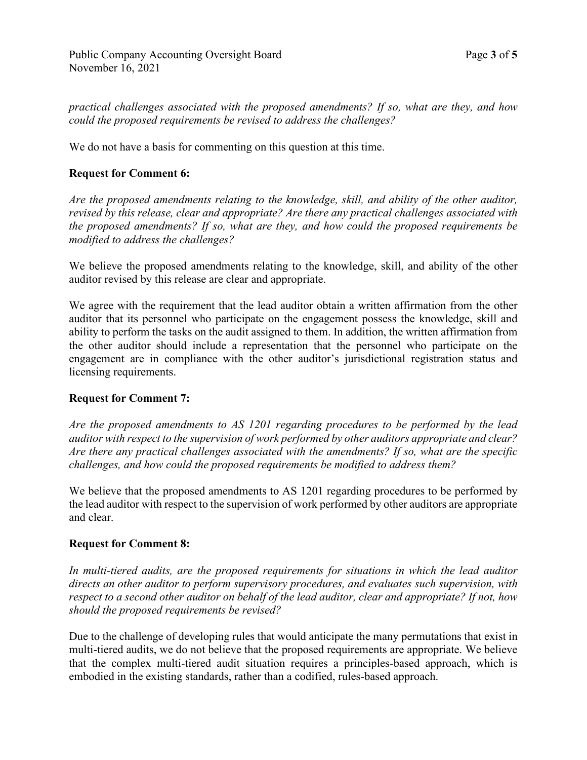*practical challenges associated with the proposed amendments? If so, what are they, and how could the proposed requirements be revised to address the challenges?*

We do not have a basis for commenting on this question at this time.

# **Request for Comment 6:**

*Are the proposed amendments relating to the knowledge, skill, and ability of the other auditor, revised by this release, clear and appropriate? Are there any practical challenges associated with the proposed amendments? If so, what are they, and how could the proposed requirements be modified to address the challenges?*

We believe the proposed amendments relating to the knowledge, skill, and ability of the other auditor revised by this release are clear and appropriate.

We agree with the requirement that the lead auditor obtain a written affirmation from the other auditor that its personnel who participate on the engagement possess the knowledge, skill and ability to perform the tasks on the audit assigned to them. In addition, the written affirmation from the other auditor should include a representation that the personnel who participate on the engagement are in compliance with the other auditor's jurisdictional registration status and licensing requirements.

### **Request for Comment 7:**

*Are the proposed amendments to AS 1201 regarding procedures to be performed by the lead auditor with respect to the supervision of work performed by other auditors appropriate and clear? Are there any practical challenges associated with the amendments? If so, what are the specific challenges, and how could the proposed requirements be modified to address them?*

We believe that the proposed amendments to AS 1201 regarding procedures to be performed by the lead auditor with respect to the supervision of work performed by other auditors are appropriate and clear.

### **Request for Comment 8:**

*In multi-tiered audits, are the proposed requirements for situations in which the lead auditor directs an other auditor to perform supervisory procedures, and evaluates such supervision, with respect to a second other auditor on behalf of the lead auditor, clear and appropriate? If not, how should the proposed requirements be revised?*

Due to the challenge of developing rules that would anticipate the many permutations that exist in multi-tiered audits, we do not believe that the proposed requirements are appropriate. We believe that the complex multi-tiered audit situation requires a principles-based approach, which is embodied in the existing standards, rather than a codified, rules-based approach.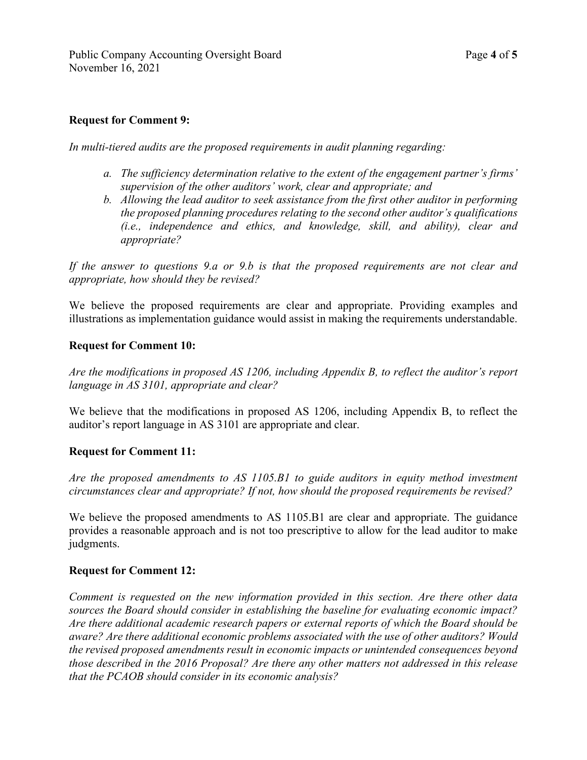## **Request for Comment 9:**

*In multi-tiered audits are the proposed requirements in audit planning regarding:*

- *a. The sufficiency determination relative to the extent of the engagement partner's firms' supervision of the other auditors' work, clear and appropriate; and*
- *b. Allowing the lead auditor to seek assistance from the first other auditor in performing the proposed planning procedures relating to the second other auditor's qualifications (i.e., independence and ethics, and knowledge, skill, and ability), clear and appropriate?*

*If the answer to questions 9.a or 9.b is that the proposed requirements are not clear and appropriate, how should they be revised?*

We believe the proposed requirements are clear and appropriate. Providing examples and illustrations as implementation guidance would assist in making the requirements understandable.

### **Request for Comment 10:**

*Are the modifications in proposed AS 1206, including Appendix B, to reflect the auditor's report language in AS 3101, appropriate and clear?*

We believe that the modifications in proposed AS 1206, including Appendix B, to reflect the auditor's report language in AS 3101 are appropriate and clear.

### **Request for Comment 11:**

*Are the proposed amendments to AS 1105.B1 to guide auditors in equity method investment circumstances clear and appropriate? If not, how should the proposed requirements be revised?*

We believe the proposed amendments to AS 1105.B1 are clear and appropriate. The guidance provides a reasonable approach and is not too prescriptive to allow for the lead auditor to make judgments.

### **Request for Comment 12:**

*Comment is requested on the new information provided in this section. Are there other data sources the Board should consider in establishing the baseline for evaluating economic impact? Are there additional academic research papers or external reports of which the Board should be aware? Are there additional economic problems associated with the use of other auditors? Would the revised proposed amendments result in economic impacts or unintended consequences beyond those described in the 2016 Proposal? Are there any other matters not addressed in this release that the PCAOB should consider in its economic analysis?*